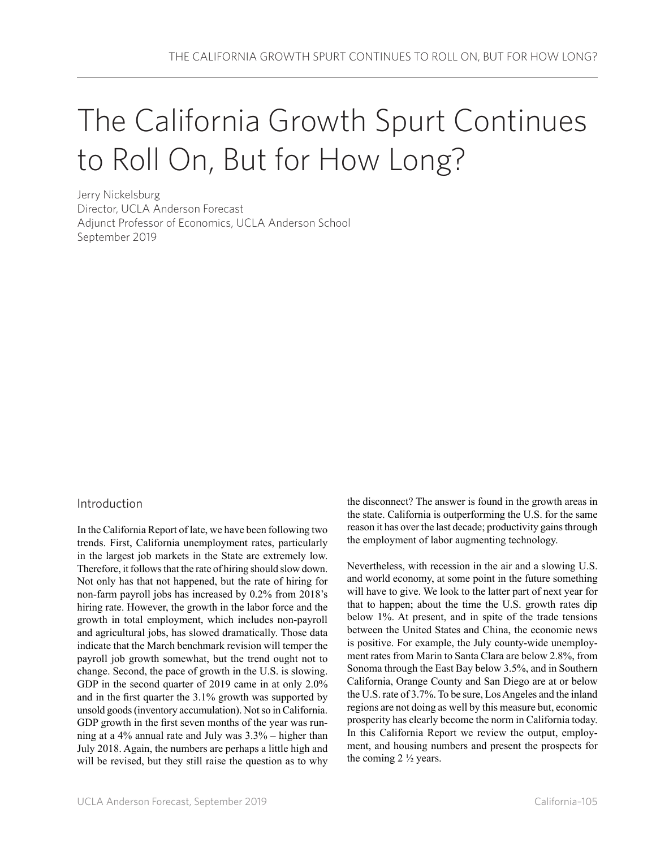# The California Growth Spurt Continues to Roll On, But for How Long?

Jerry Nickelsburg Director, UCLA Anderson Forecast Adjunct Professor of Economics, UCLA Anderson School September 2019

### Introduction

In the California Report of late, we have been following two trends. First, California unemployment rates, particularly in the largest job markets in the State are extremely low. Therefore, it follows that the rate of hiring should slow down. Not only has that not happened, but the rate of hiring for non-farm payroll jobs has increased by 0.2% from 2018's hiring rate. However, the growth in the labor force and the growth in total employment, which includes non-payroll and agricultural jobs, has slowed dramatically. Those data indicate that the March benchmark revision will temper the payroll job growth somewhat, but the trend ought not to change. Second, the pace of growth in the U.S. is slowing. GDP in the second quarter of 2019 came in at only 2.0% and in the first quarter the 3.1% growth was supported by unsold goods (inventory accumulation). Not so in California. GDP growth in the first seven months of the year was running at a 4% annual rate and July was 3.3% – higher than July 2018. Again, the numbers are perhaps a little high and will be revised, but they still raise the question as to why the disconnect? The answer is found in the growth areas in the state. California is outperforming the U.S. for the same reason it has over the last decade; productivity gains through the employment of labor augmenting technology.

Nevertheless, with recession in the air and a slowing U.S. and world economy, at some point in the future something will have to give. We look to the latter part of next year for that to happen; about the time the U.S. growth rates dip below 1%. At present, and in spite of the trade tensions between the United States and China, the economic news is positive. For example, the July county-wide unemployment rates from Marin to Santa Clara are below 2.8%, from Sonoma through the East Bay below 3.5%, and in Southern California, Orange County and San Diego are at or below the U.S. rate of 3.7%. To be sure, Los Angeles and the inland regions are not doing as well by this measure but, economic prosperity has clearly become the norm in California today. In this California Report we review the output, employment, and housing numbers and present the prospects for the coming  $2\frac{1}{2}$  years.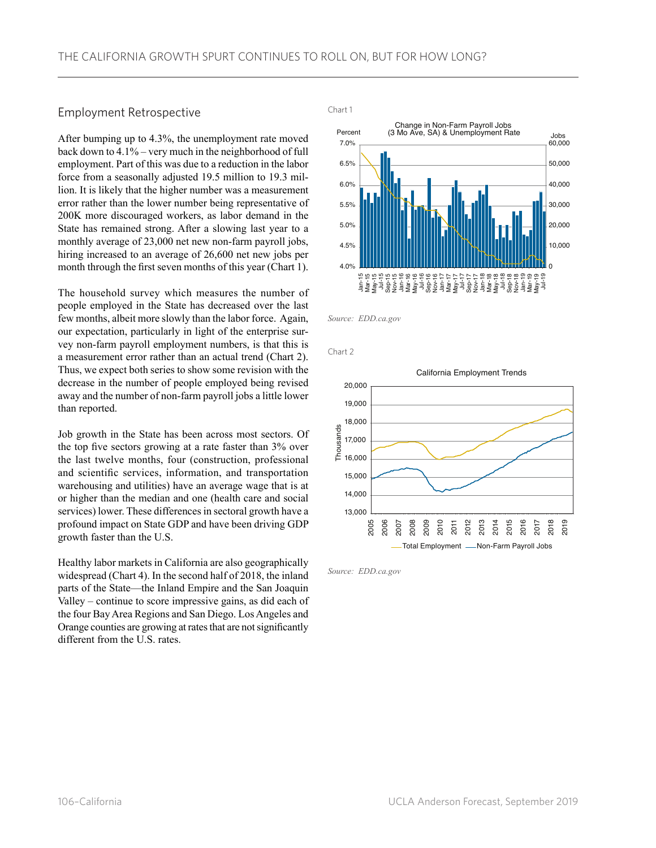### Employment Retrospective Employment Retrospective

After bumping up to 4.3%, the unemployment rate moved back down to 4.1% – very much in the neighborhood of full employment. Part of this was due to a reduction in the labor force from a seasonally adjusted 19.5 million to 19.3 million. It is likely that the higher number was a measurement error rather than the lower number being representative of 200K more discouraged workers, as labor demand in the State has remained strong. After a slowing last year to a monthly average of 23,000 net new non-farm payroll jobs, hiring increased to an average of 26,600 net new jobs per month through the first seven months of this year (Chart 1).

The household survey which measures the number of people employed in the State has decreased over the last few months, albeit more slowly than the labor force. Again, our expectation, particularly in light of the enterprise survey non-farm payroll employment numbers, is that this is a measurement error rather than an actual trend (Chart 2). Thus, we expect both series to show some revision with the decrease in the number of people employed being revised away and the number of non-farm payroll jobs a little lower than reported.

Job growth in the State has been across most sectors. Of the top five sectors growing at a rate faster than 3% over the last twelve months, four (construction, professional and scientific services, information, and transportation warehousing and utilities) have an average wage that is at or higher than the median and one (health care and social services) lower. These differences in sectoral growth have a profound impact on State GDP and have been driving GDP growth faster than the U.S.

Healthy labor markets in California are also geographically widespread (Chart 4). In the second half of 2018, the inland parts of the State—the Inland Empire and the San Joaquin Valley – continue to score impressive gains, as did each of the four Bay Area Regions and San Diego. Los Angeles and Orange counties are growing at rates that are not significantly different from the U.S. rates.



*Source: EDD.ca.gov*

Chart 2



*Source: EDD.ca.gov*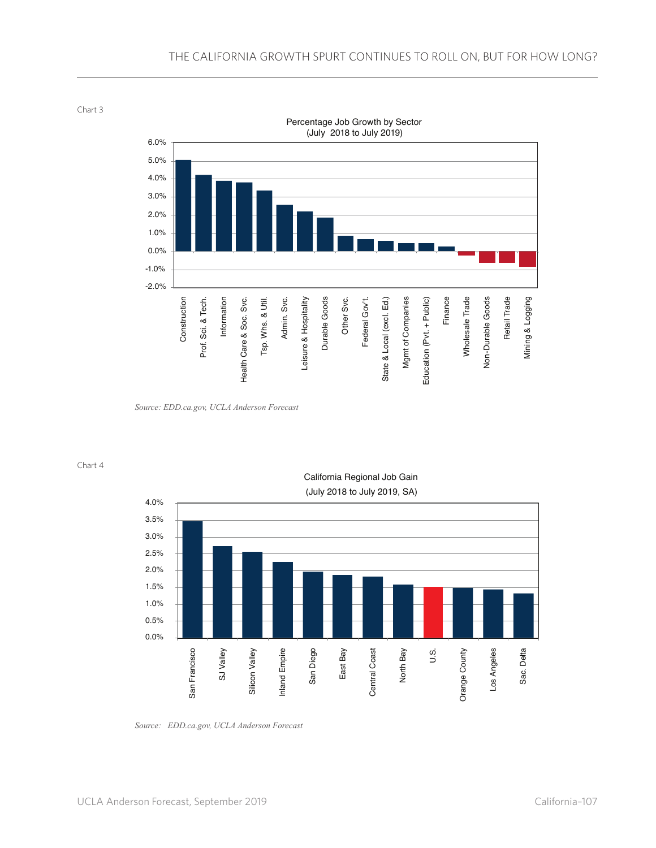Chart 3



*Source: EDD.ca.gov, UCLA Anderson Forecast*

Chart 4



California Regional Job Gain

*Source: EDD.ca.gov, UCLA Anderson Forecast*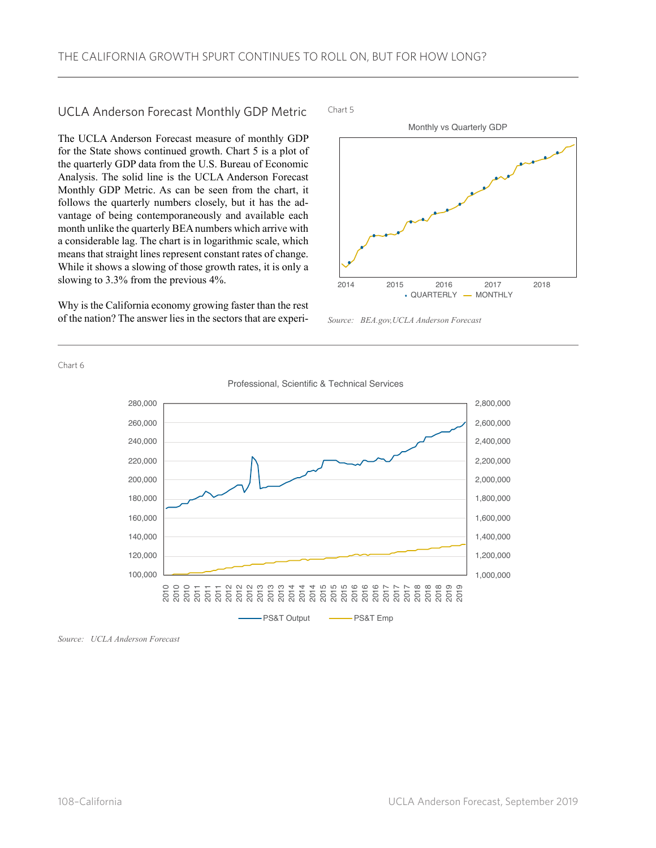## UCLA Anderson Forecast Monthly GDP Metric

The UCLA Anderson Forecast measure of monthly GDP for the State shows continued growth. Chart 5 is a plot of the quarterly GDP data from the U.S. Bureau of Economic Analysis. The solid line is the UCLA Anderson Forecast Monthly GDP Metric. As can be seen from the chart, it follows the quarterly numbers closely, but it has the advantage of being contemporaneously and available each month unlike the quarterly BEA numbers which arrive with a considerable lag. The chart is in logarithmic scale, which means that straight lines represent constant rates of change. While it shows a slowing of those growth rates, it is only a slowing to 3.3% from the previous 4%.

Why is the California economy growing faster than the rest of the nation? The answer lies in the sectors that are experiChart 5



*Source: BEA.gov,UCLA Anderson Forecast*

Chart 6



*Source: UCLA Anderson Forecast*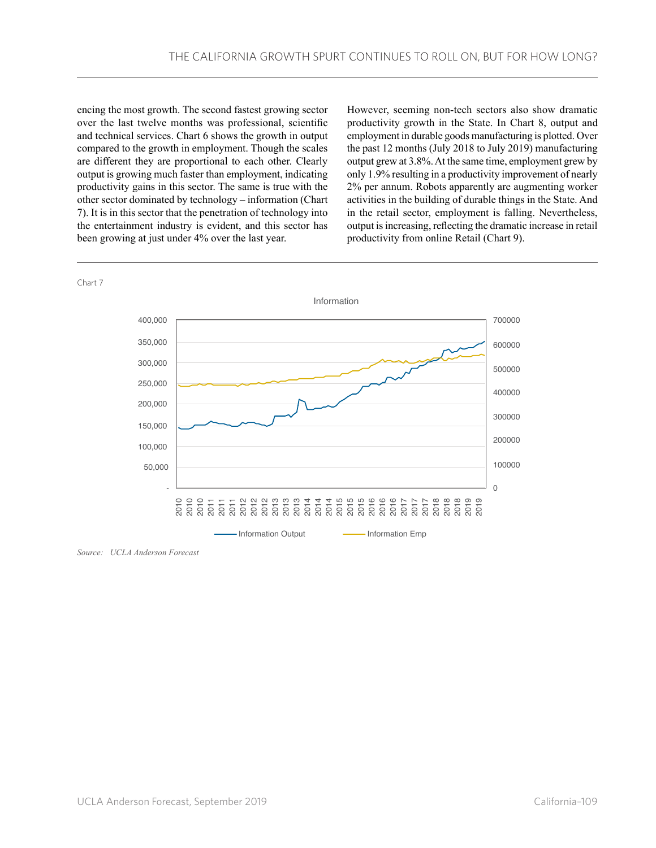encing the most growth. The second fastest growing sector over the last twelve months was professional, scientific and technical services. Chart 6 shows the growth in output compared to the growth in employment. Though the scales are different they are proportional to each other. Clearly output is growing much faster than employment, indicating productivity gains in this sector. The same is true with the other sector dominated by technology – information (Chart 7). It is in this sector that the penetration of technology into the entertainment industry is evident, and this sector has been growing at just under 4% over the last year.

However, seeming non-tech sectors also show dramatic productivity growth in the State. In Chart 8, output and employment in durable goods manufacturing is plotted. Over the past 12 months (July 2018 to July 2019) manufacturing output grew at 3.8%. At the same time, employment grew by only 1.9% resulting in a productivity improvement of nearly 2% per annum. Robots apparently are augmenting worker activities in the building of durable things in the State. And in the retail sector, employment is falling. Nevertheless, output is increasing, reflecting the dramatic increase in retail productivity from online Retail (Chart 9).



*Source: UCLA Anderson Forecast*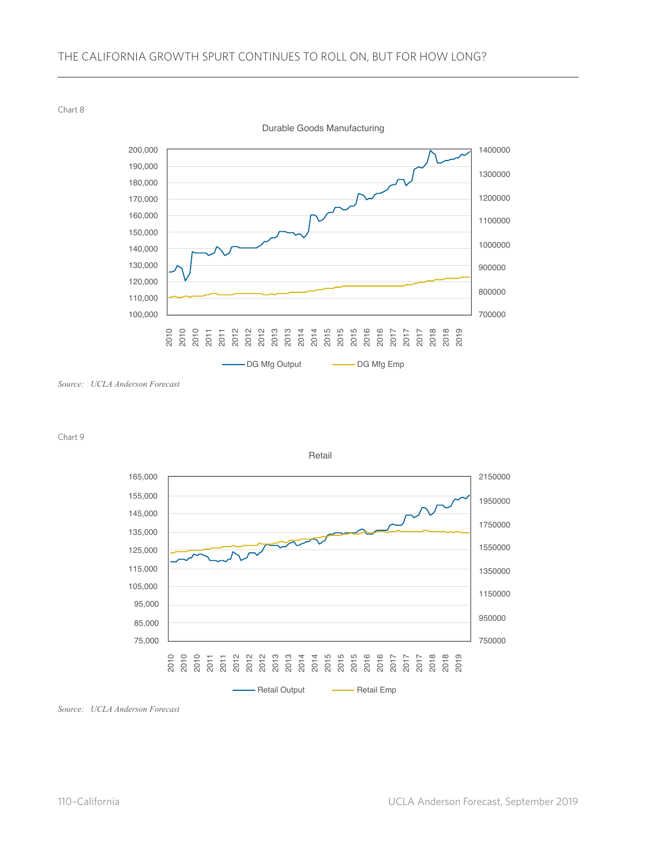Chart 8

700000 800000 900000 1000000 1100000 1200000 1300000 1400000 100,000 110,000 120,000 130,000 140,000 150,000 160,000 170,000 180,000 190,000 200,000 2020 2020 2020 2020 2020 2020 2020 2020 2020 2020 2020 2020 2020 2020 2020 2020 2020 2020 2020 2020 2020 2020 Durable Goods Manufacturing - DG Mfg Output - DG Mfg Emp

Chart 9





*Source: UCLA Anderson Forecast*